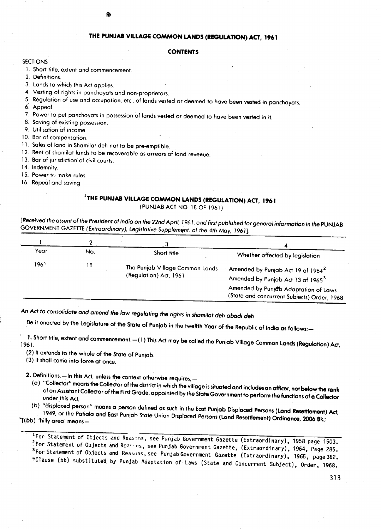## THE PUNJAB VILLAGE COMMON LANDS (REGULATION) ACT, 1961

## **CONTENTS**

- $\overline{\text{S}}$  of  $\overline{\text{S}}$ 1. Short title, extent and commencement.
- 

2. Definitions.<br>3. Lands to which this Act applies. 3. Lands to which this Act applies.

4. Vesting of rights in panchayats and non-proprietors.

ŵ

5. Regulation of use and occupation, etc., of lands vested or deemed to have been vested in panchayats.

6. Appeal.

- 7. Power to put panchayats in possession of lands vested or deemed to have been vested in it.
- 8. Saving of existing possession.
- 9. Utilisation of income.

10. Bar of compensation.

- 11. Sales of land in Shamilat deh not to be pre-emptible.
- 12. Rent of shamilat lands to be recoverable as arrears of land revenue.
- 13. Bar of jurisdiction of civil courts.<br>14. Indemnity.
- 14. Indemnity.
- 15. Power tc.,:nake rules.
- 16. Repeal and saving.

## ITHE **PUNJAB VILLAGE COMMON LANDS (REGULATION) ACT, 1961**

(PUNJAB ACT NO. 18 OF 1961)

*[Received the assent* of *the President* of *India* on *the 22nd April,* 1961, *and first published for general information in the* PUNJAB GOVERNMENT GAZETTE (Extraordinary), Legislative Supplement, of the 4th May, 1961].

| Year | No. | Short title                                               | Whether affected by legislation                                                                                                                                                       |
|------|-----|-----------------------------------------------------------|---------------------------------------------------------------------------------------------------------------------------------------------------------------------------------------|
| 1961 | 18  | The Punjab Village Common Lands<br>(Regulation) Act, 1961 | Amended by Punjab Act 19 of 1964 <sup>2</sup><br>Amended by Punjab Act 13 of 1965 <sup>3</sup><br>Amended by Punjob Adaptation of Laws<br>(State and concurrent Subjects) Order, 1968 |

An *Act* to *consolidate and amend the low regulating the rights in shami/at deh abodi deh*

Be it enacted by the Legislature of the State of Punjab in the twelfth Year of the Republic of India as follows:-

1. Short the, extent and commencement.-(1) This Act may be called the Punjab Village Common Lands (Regulation) 1961.

(2) It extends to the whole of the State of Punjab.

(3) It shall come into force at once.

2. Definitions.-In this Act, unless the context otherwise requires,-

(a) "Collector" means the Collector of the district in which the village is situated and includes an officer, not below the rank on Assistant Collector of the First Grade, appointed by the State Government to perform the functions of a Collector under .this Act; .

*(b)* "displaced person" means a person defined as such in the East Punjab Displaced Persons (land Resettlement) Ad, 1949, or the Patiala and East Punjah State Union Displaced Persons (Land Resettlement) Ordinance, 2006 Bk.;

*'+[(bb)* 'hilly area' means-

1For Statement of Objects and Reasans, see Punjab Government Gazette (Extraordinary), 1958 page 1503. <sup>2</sup>For Statement of Objects and Reasons, see Punjab Government Gazette, (Extraordinary), 1964, Page 285. <sup>3</sup>For Statement of Objects and Reasuns, see Punjab Government Gazette (Extraordinary), 1965, page 362.  $^4$ Clause (bb) substituted by Punjab Adaptation of Laws (State and Concurrent Subject), Order, 1968.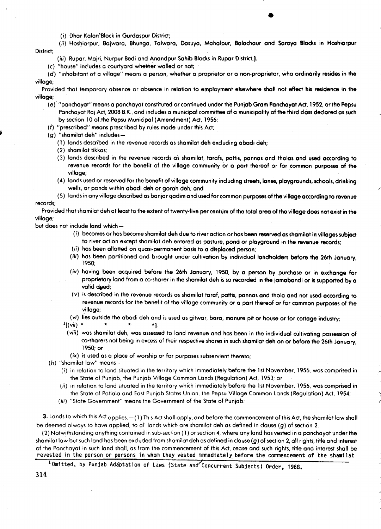(i) Dhar Kalan'Slock in Gurdaspur District;

(ii) Hoshiarpur, Bajwara, Bhunga, Talwara, Dosuya, Mahalpur, Bolachaur and Soroya Blocks in Hoshiorpur District:

- (iii) Rupar, Majri, Nurpur Bedi and Anandpur Sahib Blocks in Rupar District,).
- (c) "house" includes a courtyard whether walled or not;

*(d)* "inhabitant of a village" means a person, whether a proprietor or a non-proprietor, who ordinarily resides in the village;

Provided that temporary absence or absence in relation to employment elsewhere sholl not effect his residence in the village;

- *(e)* "panchayat" means a panchayat constituted or continued under the Punjab Gram Panchayat Act, 1952, or the Pepsu Panchayat Raj Act, 2008 B.K., and includes a municipal committee of a municipality of the third closs declared as such by section 10 of the Pepsu Municipal (Amendment) Act, 1956;
- *(f)* "prescribed" means prescribed by rules mode under this Act;
- *(g)* "shamilat deh" includes-
	- ( 1) lands described in the revenue records as shamilat deh excluding abodi deh;
	- (2) shamilat tikkas;
	- (3) lands described in the revenue records as shamilat, tarafs, pattis, pannas and tholas and used according to revenue records for the benefit of the village community or a part thereof or for common purposes of the village;
	- (4) lands used or reserved for the benefit of village community including streets, lones, playgrounds, schools, drinking wells, or ponds within abadi deh or gorah deh; and

(5) lands in any village described as bonjar qadim and used for common purposes of the village according to revenue records;

Provided that shamilat deh at least to the extent of twenty-five per centum of the total area of the village does not exist in the village;

but does not include land which-

- (i) becomes or has become shamilat deh due to river action or has been reserved as shomilat in villages subject to river action except shamilat deh entered as pasture, pond or playground in the revenue records;
- (ii) has been allotted on quasi-permanent bosis to a displaced person;
- (iii) has been partitioned and brought under cultivation by individual landholders before the 26th January, 1950;
- *(iv)* having been acquired before the 26th January, 1950, by a person by purchase or in exchange for proprietary land from a co-sharer in the shamilat deh is so recorded in the jamabandi or is supported by a valid deed;
- *(v)* is described in the revenue records as shamilat taraf, pattis, pannas and thola and not used according to revenue records for the benefit of the village community or a part thereof or for common purposes of the village;
- *(vi)* lies outside the abadi deh and is used as gitwar, bora, manure pit or house or for cottage industry;

 $\frac{1}{2}$ [(*vii*) \* \* \* \*].

- *(viii)* was shamilat deh, was assessed to land revenue and has been in the individual cultivating possession of co-sharers not being in excess of their respective shares in such shamilat deh on or before the 26th January, 1950; or
- (ix) is used as a place of worship or for purposes subservient thereto;
- (h) "shamilat law" means-
	- (i) in relation to land situated in the territory which immediately before the 1st November, 1956, was comprised in the State of Punjab, the Punjab Village Common Lands (Regulation) Act, 1953; or
	- *(ii)* in relation to land situated in the territory which immediately before the 1st November, 1956, was comprised in the State of Patiala and East Punjab States Union, the Pepsu Village Common Lands (Regulation) Act, 1954;
	- *(iii)* "State Government" means the Government of the State of Punjab.

3. Lands to which this Act applies.  $-(1)$  This Act shall apply, and before the commencement of this Act, the shamilat law shall be deemed always to have applied, to all lands which are shamilat deh as defined in clause *(g)* of section 2.

(2) Notwithstanding anything contained in sub-section (1) or section 4, where any land has vested in a panchayat under the shamilat law but such land has been excluded from shamilat deh as defined in clouse *(g)* of section 2, all rights, title and interest of the Panchayatin such land shaJI, as from the commencement of this Act, cease and such rights, title and interest sholl be revested in the person or persons in whom they vested immediately before the commencement of the shamilat

<sup>1</sup> Omitted, by Punjab Adaptation of Laws (State and Concurrent Subjects) Order, 1968.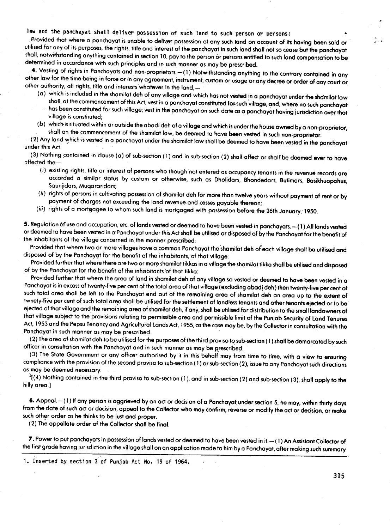law and the panchayat shall deliver possession of such land to such person or persons:

Provided that where a panchayat is unable to deliver possession ot any such land on account of its having been sold or utilised for ony of its purpases, the rights, title and interest of the panchoyot in such land shall not so cease but the panchayot shall, notwithstanding anything contained'in section 10, pay to the person or persons entitled to such land compensotion to be determined in accordance with such principles and in such manner as may be prescribed.

4. Vesting of rights in Panchayats and non-proprietors. - (1) Notwithstanding anything to the contrary contained in any other law for the time being in force or in any agreement, instrument, custom or usage or any decree or order of any court or other authority, all rights, title and interests whatever in the land,-

- (0) which is included in the shamilat deh of any village and which has not vested in a panchoyot under the shdmilat law shall, at the commencement of this Act, vest in a panchayat constituted for such village, and, where no such panchayat has been constituted for such village; vest in the panchayat on such date as a panchayat having jurisdiction over that village is constituted: village is constituted;
- (b) which is situated within or outside the abodi deh of a village and which is under the house owned by a non-propriet sholl on the commencement of the shamilot law, be deemed to have been vested in such non-proprietor.

(2) Any land which is vested in a panchayat under the shamilat law shall be deemed to have been vested in the panchayat under this Act.

(3) Nothing contained in clause (a) of sub-section (1) and in sub-section (2) shall affect or shall be deemed ever to have affected the-

- *(i)* existing rights, title or interest of persons who though not entered as occupancy tenants in the revenue records ore' accorded a similar status by custom or otherwise, such as Dholidars, Bhondedors, Butimars, Bosikhuopahus, Saunjidars, Muqararidars;
- *(ii)* rights' of persons in cultivating possession of shamilat deh for more than twelve years without payment of rent or by payment of charges not exceeding the land revenue.and cesses payable thereon;
- (iii) rights of a mortgagee to whom such land is mortgaged with possession before the 26th January, 1950.

5. Regulation öf use and occupation, etc. of lands vested or deemed to have been vested in panchayats.—(1) All lands vested or deemed to have been vested in a Panchayat under this Act shall be utilised or disposed of by the Ponchoyat for the benefit of the inhabitants of the village concerned in.the manner prescribed:

Provided that where two or more villages have a common Panchayat the shamilat deh of each village shall be utilised and disposed of by the Panchoyat for the benefit of the inhabitants, of that village:

Provided further that where there are two or more shamilat tikkas in a village the shamilat tikka shall be utilised and disposed of by the Panchayat for the benefit of the inhabitants of that tikka:

Provided further that where the area of land in shamilat deh of any village so vested or deemed to have been vested in a Panchayat is in excess of twenty-five per cent of the total area of that village (excluding abadi deh) then twenty-five per cent of such total area shall be left to the Panchayat and out of the remaining area of shamilat deh an area up to the extent of twnety-five per cent of such total area shall be utilised for the settlement of landless tenants and other tenants ejected or to be ejected of that village and the remaining area of shamilat deh, if any, shall be utilised for distribution to the small landowners of that village subject to the provisions relating to permissible area and permissible limit of the Punjab Security of Land Tenures Act, 1953 and the Pepsu Tenancy and Agricultural Lands Act, 1955, as the case may be, by the Collector in consultation with the Ponchayat in such monner as may be prescribed.

(2) The area of shamilat deh to be utilised for the purposes of the third proviso to sub-section (1) shall be demarcated by such officer in consultation with the Panchayat and in such manner as may be prescribed.

(3) The State Government or any officer authorised by it in this behalf may from time to time, with a view to ensuring compliance with the provision of the second proviso to sub-section ( 1) or sub-section (2), issueto ony Panchayat such directions as may be deemed necessary.

 $^{1}$ [(4) Nothing contained in the third proviso to sub-section (1), and in sub-section (2) and sub-section (3), shall apply to the hilly area.]

6. Appeal. - (1) If any person is aggrieved by an act or decision of a Panchayat under section 5, he may, within thirty days from the date of such act or decision, appeal to the Collector who moy confirm, reverse or modify the oct or decision, or moke such other order os he thinks to be just and proper.

(2) The appellate order of the Collector shall be final.

7. Power to put panchayats in possession of lands vested or deemed to have been vested in it. --(1) An Assistant Collector of the first grode having jurisdiction in the villoge sholl on an application made to him by a Panchayat, after making such summory

1. Inserted by section 3 of Punjab Act No. 19 of 1964.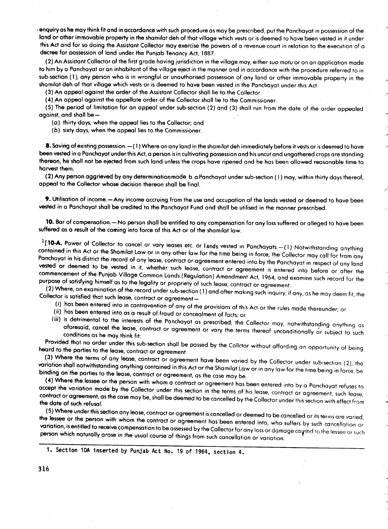•enquiry as he may think fit and in accardance with such procedure as may be prescribed, put the Panchayat in possession of the land or other immovable property in the shamilat deh of that village which vests or is deemed .to hav~ been vested In It under this Act and for so doing the Assistant Collector may exercise the powers of a revenue court in relation to the execution of a<br>decree for possession of land under the Punjab Tenancy Act, 1887.

(2) An Assistant Collector of the first grade having jurisdiction in the village may, either suo motu or on an application made (2) An Assistant Collector of the first grade having jurisdiction in the village ~ay, either suo m.otu or on on application mode to him by a Panc~ayat or on inhabitant of the village eject in the manner and In accordance with the procedure referred to In sub-section (1), any person who is in wrongful or unauthorised possession of any land or other immovable property in the shamilat deh of that village which vests or is deemed to have been vested in the Pancbayat under this Act.<br>(3) An appeal against the order of the Assistant Collector shall lie to the Collector.

(4) An appeal against the appellate order of the Collector shall lie to the Commissioner. (4) An appeal against the appellate order of the Collector sholl he to the Commissioner.

(5)'The period of limitation for on appeal under sub-section (2) and (3) sholl run from the date of the order appealed against, and shall be  $-$ <br>(a) thirty days, when the appeal lies to the Collector; and

(a) thirtyoays, when the appeal lies to the Collector; and

(b) sixty days, when the appeal lies to the Commissioner .

8. Saving of existing possession. $-(1)$  Where on any land in the shamilat deh immediately before it vests or is deemed to have been vested in a Panchayat under this Act, a person is in cultivating possession and his uncut and ungathered crops are standing thereon, he shall not be ejected from such land unless the crops have ripened and he has been allowed reasonable time to<br>harvest them.

(2) Any person aggrieved by any determinationmade b a Panchayat under sub-section (1) may, within thirty days there appeal to the Collector whose decision thereon sholl be final.

9. Utilisation of income.-Any income accruing from the use and occupation of the lands vested or deemed to have been vested in a Panchayat shall be credited to the Panchayat Fund and shall be utilised in the manner prescribed.

10. Bar of compensation. - No person shall be entitled to any compensation for any loss suffered or alleged to have been suffered as a result of the coming into force of this Act or of the shamilat low.

1[10-A. Power of Collector to cancel or vary leases etc. or lands vested in Panchayats.-(1) Notwithstanding anything contained in this Act or the Shamilat Law or in any other law for the time being in force, the Collector may call for from any Panchayat in his district the record of any lease, contract or agreement entered into by the Panchayat in respect of any land vested or deemed to be vested in it, whether such lease, contract or agreement is entered into before or after the commencement of the Punjab Village Common Lands (Regulation) Amendment Act, 1964, and examine such record for the purpose of satisfying himself as to the legality or propriety of such lease, contract or agreement.

 $(2)$  Where, on examination of the record under sub-section (1) and after making such inquiry, if any, as he may deem fit, the Collector is satisfied that such lease, contract or agreement-

- *(i)* has been entered into in contravention of any of the provisions of this Act or the rules made thereunder; or
- *(ii)* has been entered into as a result of.fraud or concealment of facts; or
- *(iii)* is detrimental to the interests of the Panchayat as prescribed; the Collector may, notwithstanding anything as aforesaid, cancel the lease, contract or agreement or vary the terms thereof unconditionally or subject to such conditions as he may think fit:

Provided that no order under this sub-section sholl be passed by the Collctor without affording an opportunity of being heard to the parties to the lease, contract or agreement,

(3) Where the terms of any lease, contract or agreement have been varied by the Collector under sub-section (2), the variation sholl notwithstanding anything contained in this Act or the Shamilat Law or in any law for the time being in force, be binding on the parties to the lease, contract or agreement, as the case may be.

(4) Where the lessee or the person with whom a contract or agreement has been entered into by a Panchayat refuses to accept the variation made by the Collector under this section in the terms of his lease, contract or agreement, such lease, contract or agreement, as the case may be, shall be deemed to be cancelled by the Collector under this section with effect from the date af such refusal.

(5) Where under thissedion any lease, contract or agreement is cancelled or deemed to be cancelled or its terms are varied, the lessee or the person with whom the contract or agreement has been entered into, who suffers by such cancellation or variation, is entitled to receive compensation to be assessed by the Collector for any loss or damage caysed to the lessee or such person which naturally arose in the usual course of things from such cancellation or variation.

<sup>1.</sup> Section 10A inserted by Punjab Act No. 19 of 1964, section 4.